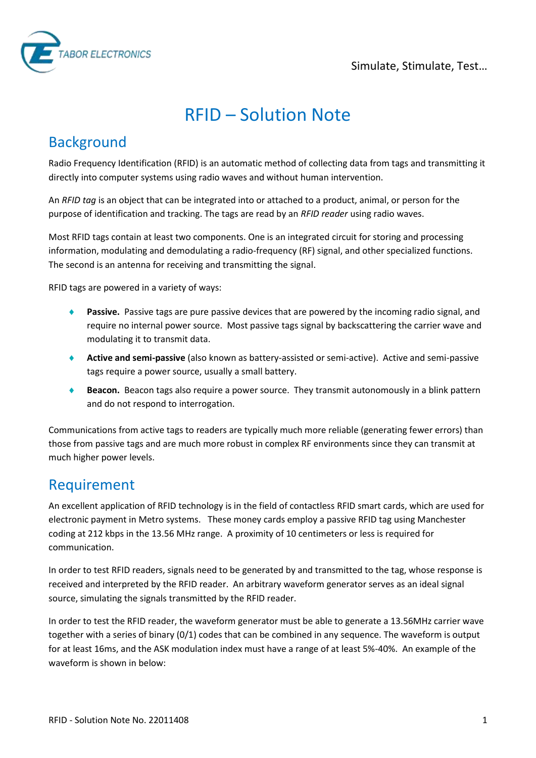

# RFID – Solution Note

### **Background**

Radio Frequency Identification (RFID) is an automatic method of collecting data from tags and transmitting it directly into computer systems using radio waves and without human intervention.

An *RFID tag* is an object that can be integrated into or attached to a product, animal, or person for the purpose of identification and tracking. The tags are read by an *RFID reader* using radio waves.

Most RFID tags contain at least two components. One is an integrated circuit for storing and processing information, modulating and demodulating a radio-frequency (RF) signal, and other specialized functions. The second is an antenna for receiving and transmitting the signal.

RFID tags are powered in a variety of ways:

- **Passive.** Passive tags are pure passive devices that are powered by the incoming radio signal, and require no internal power source. Most passive tags signal by backscattering the carrier wave and modulating it to transmit data.
- **Active and semi-passive** (also known as battery-assisted or semi-active). Active and semi-passive tags require a power source, usually a small battery.
- **Beacon.** Beacon tags also require a power source. They transmit autonomously in a blink pattern and do not respond to interrogation.

Communications from active tags to readers are typically much more reliable (generating fewer errors) than those from passive tags and are much more robust in complex RF environments since they can transmit at much higher power levels.

#### Requirement

An excellent application of RFID technology is in the field of contactless RFID smart cards, which are used for electronic payment in Metro systems. These money cards employ a passive RFID tag using Manchester coding at 212 kbps in the 13.56 MHz range. A proximity of 10 centimeters or less is required for communication.

In order to test RFID readers, signals need to be generated by and transmitted to the tag, whose response is received and interpreted by the RFID reader. An arbitrary waveform generator serves as an ideal signal source, simulating the signals transmitted by the RFID reader.

In order to test the RFID reader, the waveform generator must be able to generate a 13.56MHz carrier wave together with a series of binary (0/1) codes that can be combined in any sequence. The waveform is output for at least 16ms, and the ASK modulation index must have a range of at least 5%-40%. An example of the waveform is shown in below: